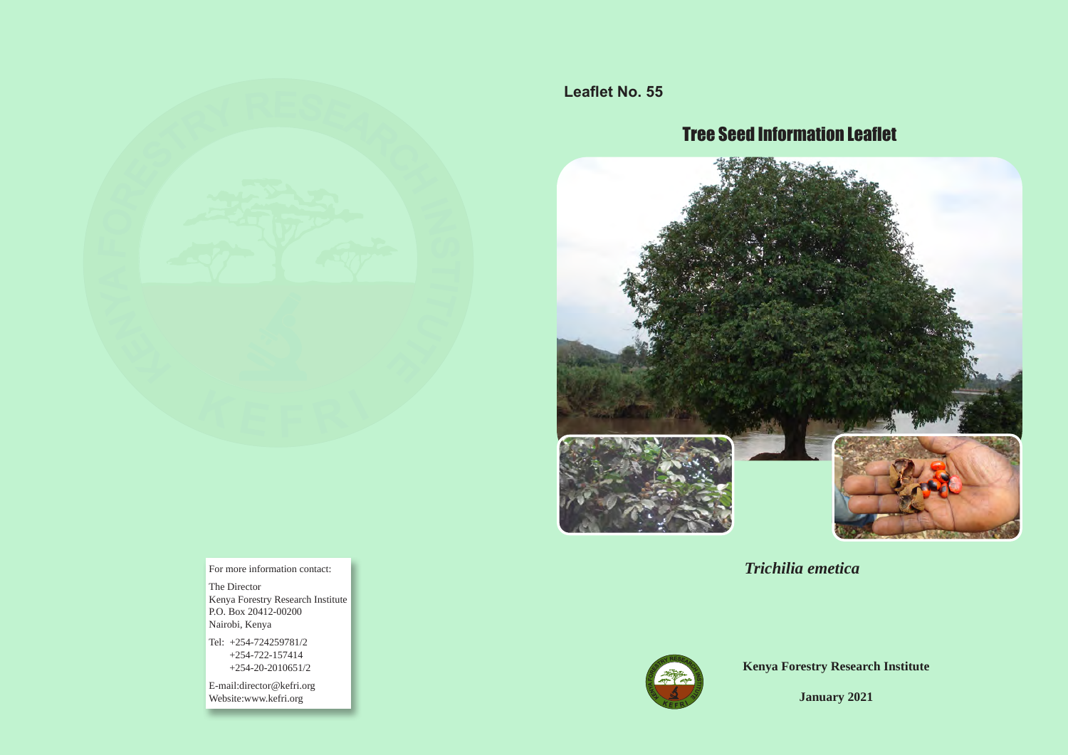

**Leaflet No. 55**

# Tree Seed Information Leaflet



*Trichilia emetica*



**Kenya Forestry Research Institute**

**January 2021**

For more information contact:

The Director Kenya Forestry Research Institute P.O. Box 20412-00200 Nairobi, Kenya

Tel: +254-724259781/2 +254-722-157414 +254-20-2010651/2

E-mail:director@kefri.org Website:www.kefri.org